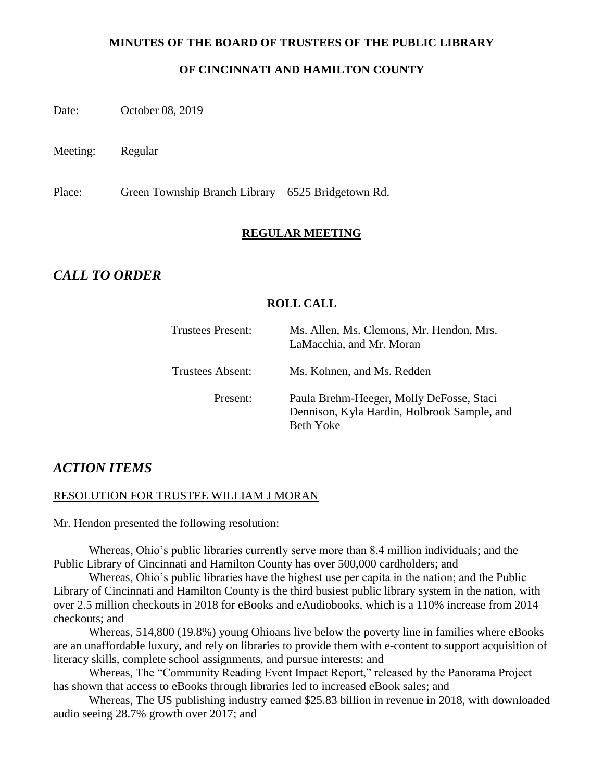#### **MINUTES OF THE BOARD OF TRUSTEES OF THE PUBLIC LIBRARY**

#### **OF CINCINNATI AND HAMILTON COUNTY**

Date: October 08, 2019

Meeting: Regular

Place: Green Township Branch Library – 6525 Bridgetown Rd.

#### **REGULAR MEETING**

# *CALL TO ORDER*

#### **ROLL CALL**

| <b>Trustees Present:</b> | Ms. Allen, Ms. Clemons, Mr. Hendon, Mrs.<br>LaMacchia, and Mr. Moran                                 |
|--------------------------|------------------------------------------------------------------------------------------------------|
| <b>Trustees Absent:</b>  | Ms. Kohnen, and Ms. Redden                                                                           |
| Present:                 | Paula Brehm-Heeger, Molly DeFosse, Staci<br>Dennison, Kyla Hardin, Holbrook Sample, and<br>Beth Yoke |

#### *ACTION ITEMS*

#### RESOLUTION FOR TRUSTEE WILLIAM J MORAN

Mr. Hendon presented the following resolution:

Whereas, Ohio's public libraries currently serve more than 8.4 million individuals; and the Public Library of Cincinnati and Hamilton County has over 500,000 cardholders; and

Whereas, Ohio's public libraries have the highest use per capita in the nation; and the Public Library of Cincinnati and Hamilton County is the third busiest public library system in the nation, with over 2.5 million checkouts in 2018 for eBooks and eAudiobooks, which is a 110% increase from 2014 checkouts; and

Whereas, 514,800 (19.8%) young Ohioans live below the poverty line in families where eBooks are an unaffordable luxury, and rely on libraries to provide them with e-content to support acquisition of literacy skills, complete school assignments, and pursue interests; and

Whereas, The "Community Reading Event Impact Report," released by the Panorama Project has shown that access to eBooks through libraries led to increased eBook sales; and

Whereas, The US publishing industry earned \$25.83 billion in revenue in 2018, with downloaded audio seeing 28.7% growth over 2017; and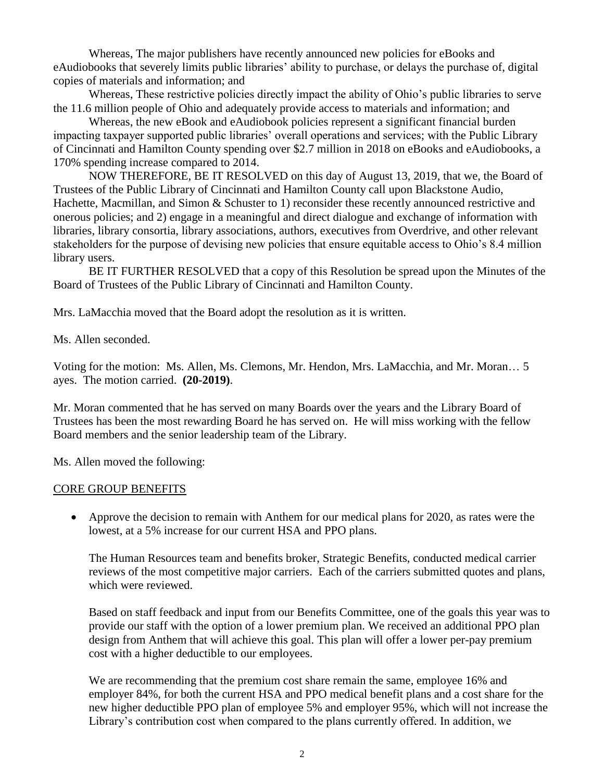Whereas, The major publishers have recently announced new policies for eBooks and eAudiobooks that severely limits public libraries' ability to purchase, or delays the purchase of, digital copies of materials and information; and

Whereas, These restrictive policies directly impact the ability of Ohio's public libraries to serve the 11.6 million people of Ohio and adequately provide access to materials and information; and

Whereas, the new eBook and eAudiobook policies represent a significant financial burden impacting taxpayer supported public libraries' overall operations and services; with the Public Library of Cincinnati and Hamilton County spending over \$2.7 million in 2018 on eBooks and eAudiobooks, a 170% spending increase compared to 2014.

NOW THEREFORE, BE IT RESOLVED on this day of August 13, 2019, that we, the Board of Trustees of the Public Library of Cincinnati and Hamilton County call upon Blackstone Audio, Hachette, Macmillan, and Simon & Schuster to 1) reconsider these recently announced restrictive and onerous policies; and 2) engage in a meaningful and direct dialogue and exchange of information with libraries, library consortia, library associations, authors, executives from Overdrive, and other relevant stakeholders for the purpose of devising new policies that ensure equitable access to Ohio's 8.4 million library users.

BE IT FURTHER RESOLVED that a copy of this Resolution be spread upon the Minutes of the Board of Trustees of the Public Library of Cincinnati and Hamilton County.

Mrs. LaMacchia moved that the Board adopt the resolution as it is written.

Ms. Allen seconded.

Voting for the motion: Ms. Allen, Ms. Clemons, Mr. Hendon, Mrs. LaMacchia, and Mr. Moran… 5 ayes. The motion carried. **(20-2019)**.

Mr. Moran commented that he has served on many Boards over the years and the Library Board of Trustees has been the most rewarding Board he has served on. He will miss working with the fellow Board members and the senior leadership team of the Library.

Ms. Allen moved the following:

#### CORE GROUP BENEFITS

 Approve the decision to remain with Anthem for our medical plans for 2020, as rates were the lowest, at a 5% increase for our current HSA and PPO plans.

The Human Resources team and benefits broker, Strategic Benefits, conducted medical carrier reviews of the most competitive major carriers. Each of the carriers submitted quotes and plans, which were reviewed.

Based on staff feedback and input from our Benefits Committee, one of the goals this year was to provide our staff with the option of a lower premium plan. We received an additional PPO plan design from Anthem that will achieve this goal. This plan will offer a lower per-pay premium cost with a higher deductible to our employees.

We are recommending that the premium cost share remain the same, employee 16% and employer 84%, for both the current HSA and PPO medical benefit plans and a cost share for the new higher deductible PPO plan of employee 5% and employer 95%, which will not increase the Library's contribution cost when compared to the plans currently offered. In addition, we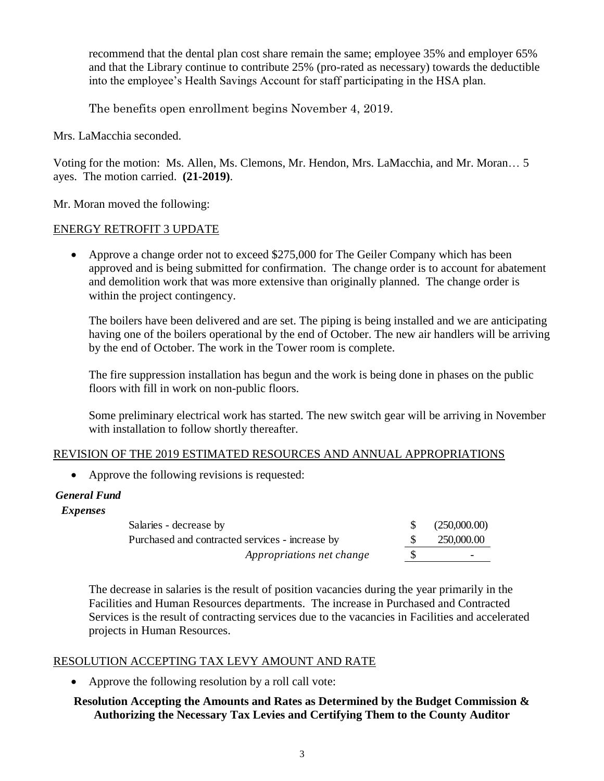recommend that the dental plan cost share remain the same; employee 35% and employer 65% and that the Library continue to contribute 25% (pro-rated as necessary) towards the deductible into the employee's Health Savings Account for staff participating in the HSA plan.

The benefits open enrollment begins November 4, 2019.

Mrs. LaMacchia seconded.

Voting for the motion: Ms. Allen, Ms. Clemons, Mr. Hendon, Mrs. LaMacchia, and Mr. Moran… 5 ayes. The motion carried. **(21-2019)**.

Mr. Moran moved the following:

#### ENERGY RETROFIT 3 UPDATE

 Approve a change order not to exceed \$275,000 for The Geiler Company which has been approved and is being submitted for confirmation. The change order is to account for abatement and demolition work that was more extensive than originally planned. The change order is within the project contingency.

The boilers have been delivered and are set. The piping is being installed and we are anticipating having one of the boilers operational by the end of October. The new air handlers will be arriving by the end of October. The work in the Tower room is complete.

The fire suppression installation has begun and the work is being done in phases on the public floors with fill in work on non-public floors.

Some preliminary electrical work has started. The new switch gear will be arriving in November with installation to follow shortly thereafter.

#### REVISION OF THE 2019 ESTIMATED RESOURCES AND ANNUAL APPROPRIATIONS

• Approve the following revisions is requested:

 *Expenses*

| Salaries - decrease by                          | (250,000,00) |
|-------------------------------------------------|--------------|
| Purchased and contracted services - increase by | 250,000.00   |
| Appropriations net change                       | -            |

The decrease in salaries is the result of position vacancies during the year primarily in the Facilities and Human Resources departments. The increase in Purchased and Contracted Services is the result of contracting services due to the vacancies in Facilities and accelerated projects in Human Resources. **Expenses**<br>
Salaries - decrease by<br>
Purchased and contracted services - increase by<br>
Appropriations net change<br>
The decrease in salaries is the result of position vacancies during the year primarily in the<br>
Facilities and

#### RESOLUTION ACCEPTING TAX LEVY AMOUNT AND RATE

• Approve the following resolution by a roll call vote:

# **Resolution Accepting the Amounts and Rates as Determined by the Budget Commission &**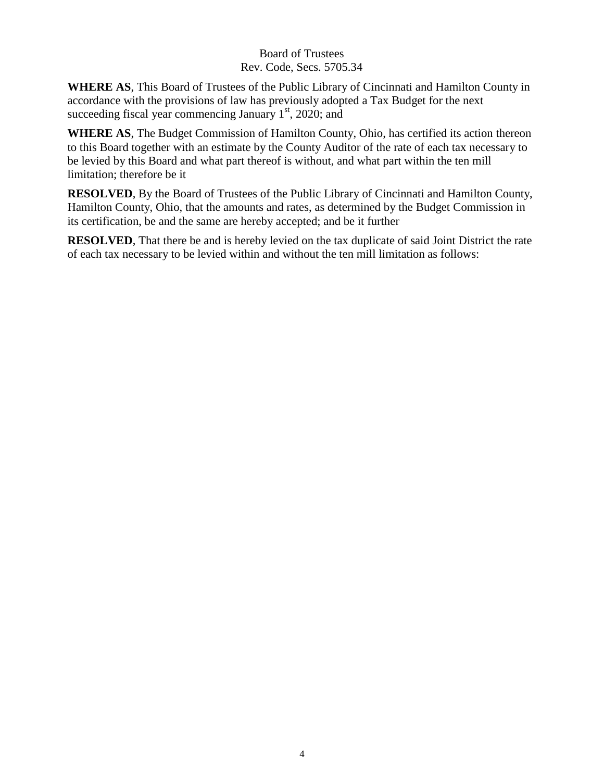### Board of Trustees Rev. Code, Secs. 5705.34

**WHERE AS**, This Board of Trustees of the Public Library of Cincinnati and Hamilton County in accordance with the provisions of law has previously adopted a Tax Budget for the next succeeding fiscal year commencing January  $1<sup>st</sup>$ , 2020; and

**WHERE AS**, The Budget Commission of Hamilton County, Ohio, has certified its action thereon to this Board together with an estimate by the County Auditor of the rate of each tax necessary to be levied by this Board and what part thereof is without, and what part within the ten mill limitation; therefore be it

**RESOLVED**, By the Board of Trustees of the Public Library of Cincinnati and Hamilton County, Hamilton County, Ohio, that the amounts and rates, as determined by the Budget Commission in its certification, be and the same are hereby accepted; and be it further

**RESOLVED**, That there be and is hereby levied on the tax duplicate of said Joint District the rate of each tax necessary to be levied within and without the ten mill limitation as follows: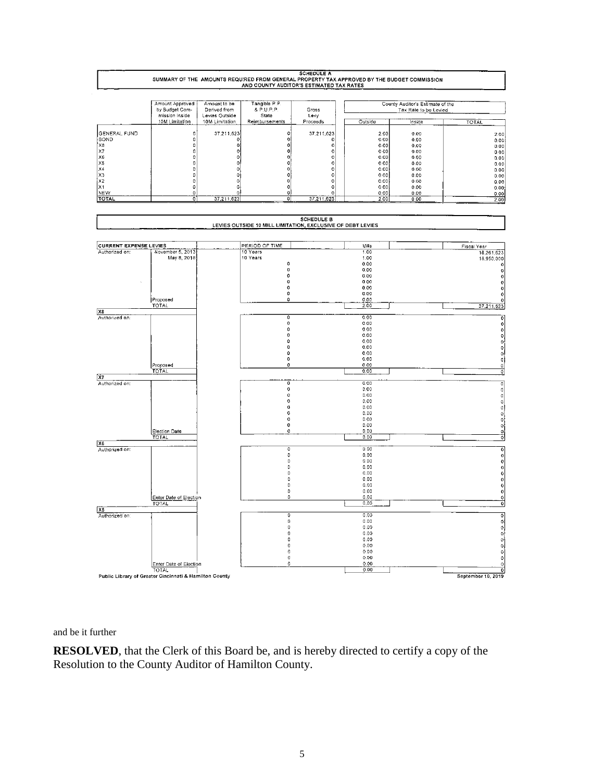

and be it further

**RESOLVED**, that the Clerk of this Board be, and is hereby directed to certify a copy of the Resolution to the County Auditor of Hamilton County.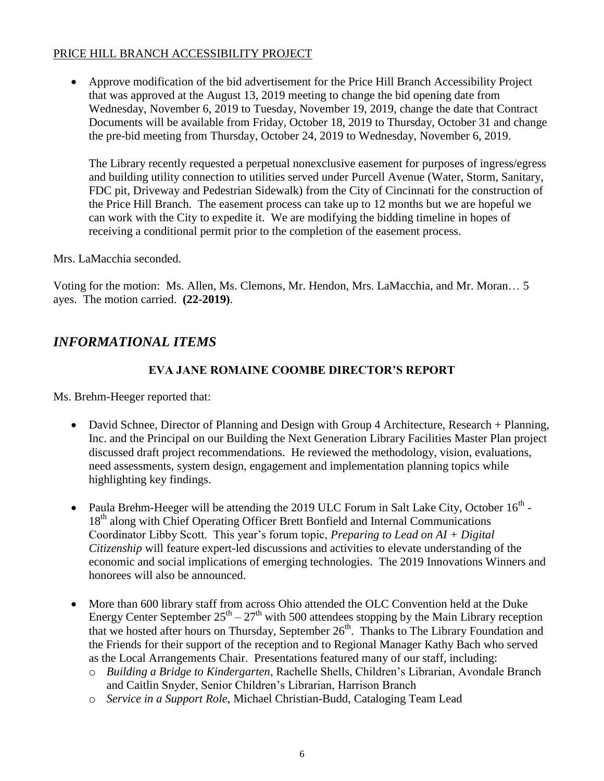#### PRICE HILL BRANCH ACCESSIBILITY PROJECT

 Approve modification of the bid advertisement for the Price Hill Branch Accessibility Project that was approved at the August 13, 2019 meeting to change the bid opening date from Wednesday, November 6, 2019 to Tuesday, November 19, 2019, change the date that Contract Documents will be available from Friday, October 18, 2019 to Thursday, October 31 and change the pre-bid meeting from Thursday, October 24, 2019 to Wednesday, November 6, 2019.

The Library recently requested a perpetual nonexclusive easement for purposes of ingress/egress and building utility connection to utilities served under Purcell Avenue (Water, Storm, Sanitary, FDC pit, Driveway and Pedestrian Sidewalk) from the City of Cincinnati for the construction of the Price Hill Branch. The easement process can take up to 12 months but we are hopeful we can work with the City to expedite it. We are modifying the bidding timeline in hopes of receiving a conditional permit prior to the completion of the easement process.

Mrs. LaMacchia seconded.

Voting for the motion: Ms. Allen, Ms. Clemons, Mr. Hendon, Mrs. LaMacchia, and Mr. Moran… 5 ayes. The motion carried. **(22-2019)**.

# *INFORMATIONAL ITEMS*

#### **EVA JANE ROMAINE COOMBE DIRECTOR'S REPORT**

Ms. Brehm-Heeger reported that:

- David Schnee, Director of Planning and Design with Group 4 Architecture, Research + Planning, Inc. and the Principal on our Building the Next Generation Library Facilities Master Plan project discussed draft project recommendations. He reviewed the methodology, vision, evaluations, need assessments, system design, engagement and implementation planning topics while highlighting key findings.
- Paula Brehm-Heeger will be attending the 2019 ULC Forum in Salt Lake City, October  $16<sup>th</sup>$  -18<sup>th</sup> along with Chief Operating Officer Brett Bonfield and Internal Communications Coordinator Libby Scott. This year's forum topic, *Preparing to Lead on AI + Digital Citizenship* will feature expert-led discussions and activities to elevate understanding of the economic and social implications of emerging technologies. The 2019 Innovations Winners and honorees will also be announced.
- More than 600 library staff from across Ohio attended the OLC Convention held at the Duke Energy Center September  $25^{th} - 27^{th}$  with 500 attendees stopping by the Main Library reception that we hosted after hours on Thursday, September  $26<sup>th</sup>$ . Thanks to The Library Foundation and the Friends for their support of the reception and to Regional Manager Kathy Bach who served as the Local Arrangements Chair. Presentations featured many of our staff, including:
	- o *Building a Bridge to Kindergarten*, Rachelle Shells, Children's Librarian, Avondale Branch and Caitlin Snyder, Senior Children's Librarian, Harrison Branch
	- o *Service in a Support Role*, Michael Christian-Budd, Cataloging Team Lead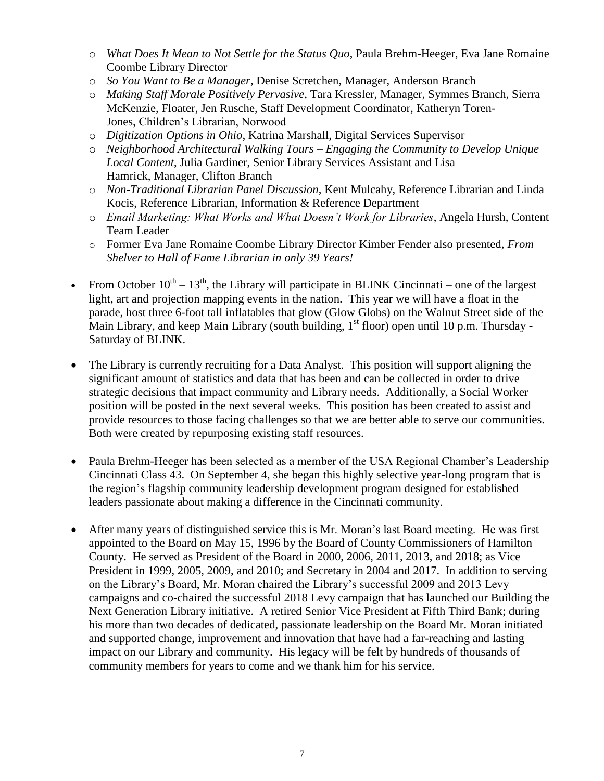- o *What Does It Mean to Not Settle for the Status Quo*, Paula Brehm-Heeger, Eva Jane Romaine Coombe Library Director
- o *So You Want to Be a Manager*, Denise Scretchen, Manager, Anderson Branch
- o *Making Staff Morale Positively Pervasive*, Tara Kressler, Manager, Symmes Branch, Sierra McKenzie, Floater, Jen Rusche, Staff Development Coordinator, Katheryn Toren-Jones, Children's Librarian, Norwood
- o *Digitization Options in Ohio*, Katrina Marshall, Digital Services Supervisor
- o *Neighborhood Architectural Walking Tours – Engaging the Community to Develop Unique Local Content*, Julia Gardiner, Senior Library Services Assistant and Lisa Hamrick, Manager, Clifton Branch
- o *Non-Traditional Librarian Panel Discussion*, Kent Mulcahy, Reference Librarian and Linda Kocis, Reference Librarian, Information & Reference Department
- o *Email Marketing: What Works and What Doesn't Work for Libraries*, Angela Hursh, Content Team Leader
- o Former Eva Jane Romaine Coombe Library Director Kimber Fender also presented, *From Shelver to Hall of Fame Librarian in only 39 Years!*
- From October  $10^{th} 13^{th}$ , the Library will participate in BLINK Cincinnati one of the largest light, art and projection mapping events in the nation. This year we will have a float in the parade, host three 6-foot tall inflatables that glow (Glow Globs) on the Walnut Street side of the Main Library, and keep Main Library (south building,  $1<sup>st</sup>$  floor) open until 10 p.m. Thursday -Saturday of BLINK.
- The Library is currently recruiting for a Data Analyst. This position will support aligning the significant amount of statistics and data that has been and can be collected in order to drive strategic decisions that impact community and Library needs. Additionally, a Social Worker position will be posted in the next several weeks. This position has been created to assist and provide resources to those facing challenges so that we are better able to serve our communities. Both were created by repurposing existing staff resources.
- Paula Brehm-Heeger has been selected as a member of the USA Regional Chamber's Leadership Cincinnati Class 43. On September 4, she began this highly selective year-long program that is the region's flagship community leadership development program designed for established leaders passionate about making a difference in the Cincinnati community.
- After many years of distinguished service this is Mr. Moran's last Board meeting. He was first appointed to the Board on May 15, 1996 by the Board of County Commissioners of Hamilton County. He served as President of the Board in 2000, 2006, 2011, 2013, and 2018; as Vice President in 1999, 2005, 2009, and 2010; and Secretary in 2004 and 2017. In addition to serving on the Library's Board, Mr. Moran chaired the Library's successful 2009 and 2013 Levy campaigns and co-chaired the successful 2018 Levy campaign that has launched our Building the Next Generation Library initiative. A retired Senior Vice President at Fifth Third Bank; during his more than two decades of dedicated, passionate leadership on the Board Mr. Moran initiated and supported change, improvement and innovation that have had a far-reaching and lasting impact on our Library and community. His legacy will be felt by hundreds of thousands of community members for years to come and we thank him for his service.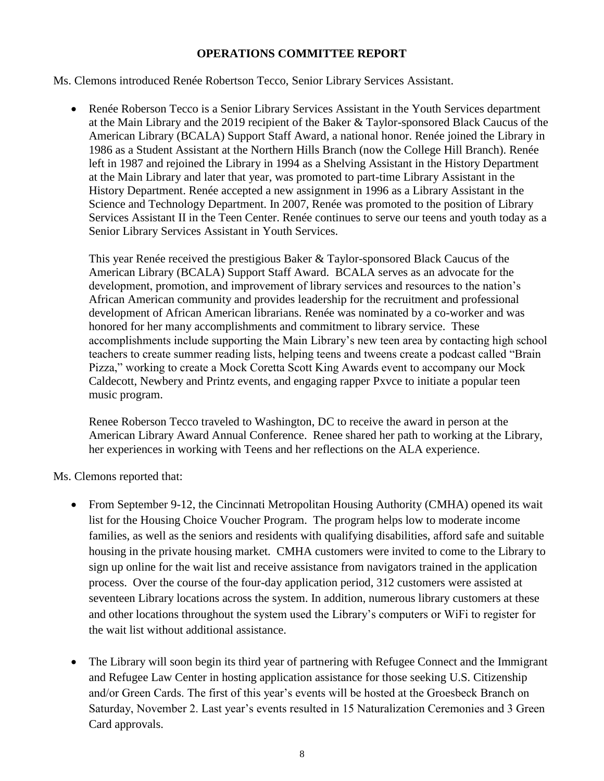#### **OPERATIONS COMMITTEE REPORT**

Ms. Clemons introduced Renée Robertson Tecco, Senior Library Services Assistant.

 Renée Roberson Tecco is a Senior Library Services Assistant in the Youth Services department at the Main Library and the 2019 recipient of the Baker & Taylor-sponsored Black Caucus of the American Library (BCALA) Support Staff Award, a national honor. Renée joined the Library in 1986 as a Student Assistant at the Northern Hills Branch (now the College Hill Branch). Renée left in 1987 and rejoined the Library in 1994 as a Shelving Assistant in the History Department at the Main Library and later that year, was promoted to part-time Library Assistant in the History Department. Renée accepted a new assignment in 1996 as a Library Assistant in the Science and Technology Department. In 2007, Renée was promoted to the position of Library Services Assistant II in the Teen Center. Renée continues to serve our teens and youth today as a Senior Library Services Assistant in Youth Services.

This year Renée received the prestigious Baker & Taylor-sponsored Black Caucus of the American Library (BCALA) Support Staff Award. BCALA serves as an advocate for the development, promotion, and improvement of library services and resources to the nation's African American community and provides leadership for the recruitment and professional development of African American librarians. Renée was nominated by a co-worker and was honored for her many accomplishments and commitment to library service. These accomplishments include supporting the Main Library's new teen area by contacting high school teachers to create summer reading lists, helping teens and tweens create a podcast called "Brain Pizza," working to create a Mock Coretta Scott King Awards event to accompany our Mock Caldecott, Newbery and Printz events, and engaging rapper Pxvce to initiate a popular teen music program.

Renee Roberson Tecco traveled to Washington, DC to receive the award in person at the American Library Award Annual Conference. Renee shared her path to working at the Library, her experiences in working with Teens and her reflections on the ALA experience.

Ms. Clemons reported that:

- From September 9-12, the Cincinnati Metropolitan Housing Authority (CMHA) opened its wait list for the Housing Choice Voucher Program. The program helps low to moderate income families, as well as the seniors and residents with qualifying disabilities, afford safe and suitable housing in the private housing market. CMHA customers were invited to come to the Library to sign up online for the wait list and receive assistance from navigators trained in the application process. Over the course of the four-day application period, 312 customers were assisted at seventeen Library locations across the system. In addition, numerous library customers at these and other locations throughout the system used the Library's computers or WiFi to register for the wait list without additional assistance.
- The Library will soon begin its third year of partnering with Refugee Connect and the Immigrant and Refugee Law Center in hosting application assistance for those seeking U.S. Citizenship and/or Green Cards. The first of this year's events will be hosted at the Groesbeck Branch on Saturday, November 2. Last year's events resulted in 15 Naturalization Ceremonies and 3 Green Card approvals.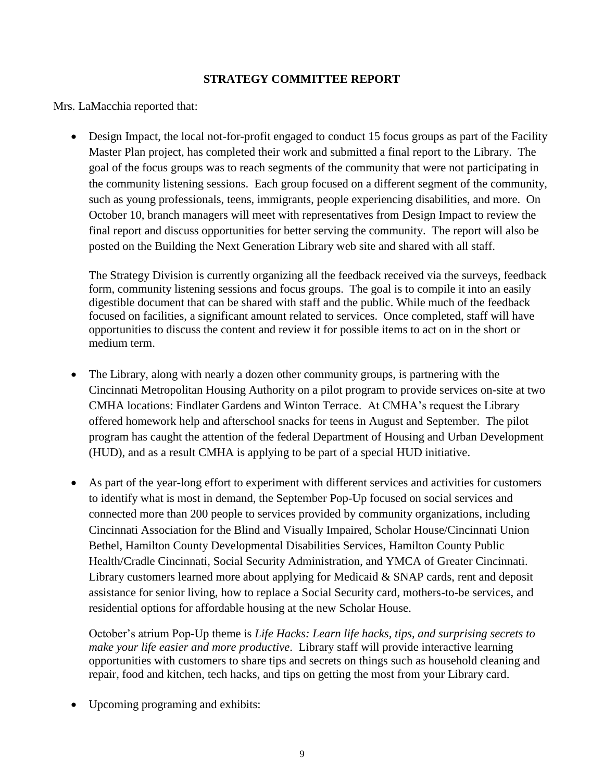#### **STRATEGY COMMITTEE REPORT**

Mrs. LaMacchia reported that:

• Design Impact, the local not-for-profit engaged to conduct 15 focus groups as part of the Facility Master Plan project, has completed their work and submitted a final report to the Library. The goal of the focus groups was to reach segments of the community that were not participating in the community listening sessions. Each group focused on a different segment of the community, such as young professionals, teens, immigrants, people experiencing disabilities, and more. On October 10, branch managers will meet with representatives from Design Impact to review the final report and discuss opportunities for better serving the community. The report will also be posted on the Building the Next Generation Library web site and shared with all staff.

The Strategy Division is currently organizing all the feedback received via the surveys, feedback form, community listening sessions and focus groups. The goal is to compile it into an easily digestible document that can be shared with staff and the public. While much of the feedback focused on facilities, a significant amount related to services. Once completed, staff will have opportunities to discuss the content and review it for possible items to act on in the short or medium term.

- The Library, along with nearly a dozen other community groups, is partnering with the Cincinnati Metropolitan Housing Authority on a pilot program to provide services on-site at two CMHA locations: Findlater Gardens and Winton Terrace. At CMHA's request the Library offered homework help and afterschool snacks for teens in August and September. The pilot program has caught the attention of the federal Department of Housing and Urban Development (HUD), and as a result CMHA is applying to be part of a special HUD initiative.
- As part of the year-long effort to experiment with different services and activities for customers to identify what is most in demand, the September Pop-Up focused on social services and connected more than 200 people to services provided by community organizations, including Cincinnati Association for the Blind and Visually Impaired, Scholar House/Cincinnati Union Bethel, Hamilton County Developmental Disabilities Services, Hamilton County Public Health/Cradle Cincinnati, Social Security Administration, and YMCA of Greater Cincinnati. Library customers learned more about applying for Medicaid  $&$  SNAP cards, rent and deposit assistance for senior living, how to replace a Social Security card, mothers-to-be services, and residential options for affordable housing at the new Scholar House.

October's atrium Pop-Up theme is *Life Hacks: Learn life hacks, tips, and surprising secrets to make your life easier and more productive*. Library staff will provide interactive learning opportunities with customers to share tips and secrets on things such as household cleaning and repair, food and kitchen, tech hacks, and tips on getting the most from your Library card.

Upcoming programing and exhibits: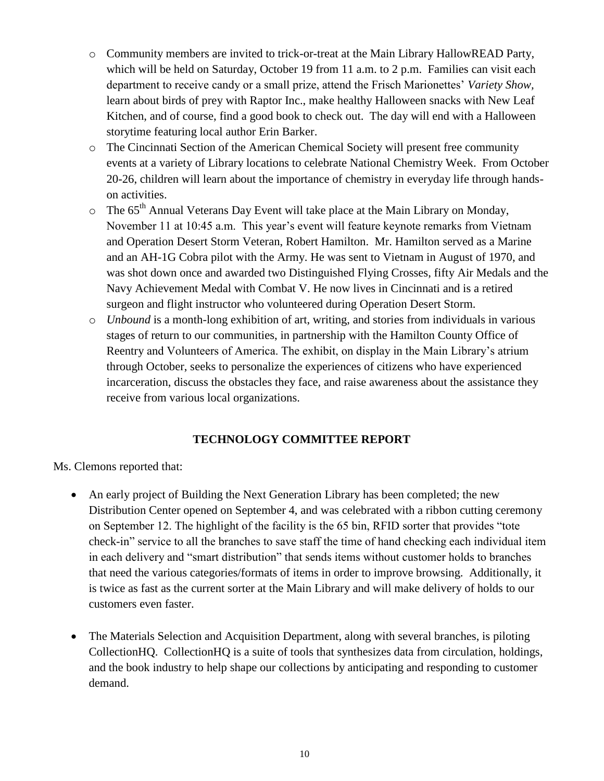- o Community members are invited to trick-or-treat at the Main Library HallowREAD Party, which will be held on Saturday, October 19 from 11 a.m. to 2 p.m. Families can visit each department to receive candy or a small prize, attend the Frisch Marionettes' *Variety Show,*  learn about birds of prey with Raptor Inc., make healthy Halloween snacks with New Leaf Kitchen, and of course, find a good book to check out. The day will end with a Halloween storytime featuring local author Erin Barker.
- o The Cincinnati Section of the American Chemical Society will present free community events at a variety of Library locations to celebrate National Chemistry Week. From October 20-26, children will learn about the importance of chemistry in everyday life through handson activities.
- $\circ$  The 65<sup>th</sup> Annual Veterans Day Event will take place at the Main Library on Monday, November 11 at 10:45 a.m. This year's event will feature keynote remarks from Vietnam and Operation Desert Storm Veteran, Robert Hamilton. Mr. Hamilton served as a Marine and an AH-1G Cobra pilot with the Army. He was sent to Vietnam in August of 1970, and was shot down once and awarded two Distinguished Flying Crosses, fifty Air Medals and the Navy Achievement Medal with Combat V. He now lives in Cincinnati and is a retired surgeon and flight instructor who volunteered during Operation Desert Storm.
- o *Unbound* is a month-long exhibition of art, writing, and stories from individuals in various stages of return to our communities, in partnership with the Hamilton County Office of Reentry and Volunteers of America. The exhibit, on display in the Main Library's atrium through October, seeks to personalize the experiences of citizens who have experienced incarceration, discuss the obstacles they face, and raise awareness about the assistance they receive from various local organizations.

# **TECHNOLOGY COMMITTEE REPORT**

Ms. Clemons reported that:

- An early project of Building the Next Generation Library has been completed; the new Distribution Center opened on September 4, and was celebrated with a ribbon cutting ceremony on September 12. The highlight of the facility is the 65 bin, RFID sorter that provides "tote check-in" service to all the branches to save staff the time of hand checking each individual item in each delivery and "smart distribution" that sends items without customer holds to branches that need the various categories/formats of items in order to improve browsing. Additionally, it is twice as fast as the current sorter at the Main Library and will make delivery of holds to our customers even faster.
- The Materials Selection and Acquisition Department, along with several branches, is piloting CollectionHQ. CollectionHQ is a suite of tools that synthesizes data from circulation, holdings, and the book industry to help shape our collections by anticipating and responding to customer demand.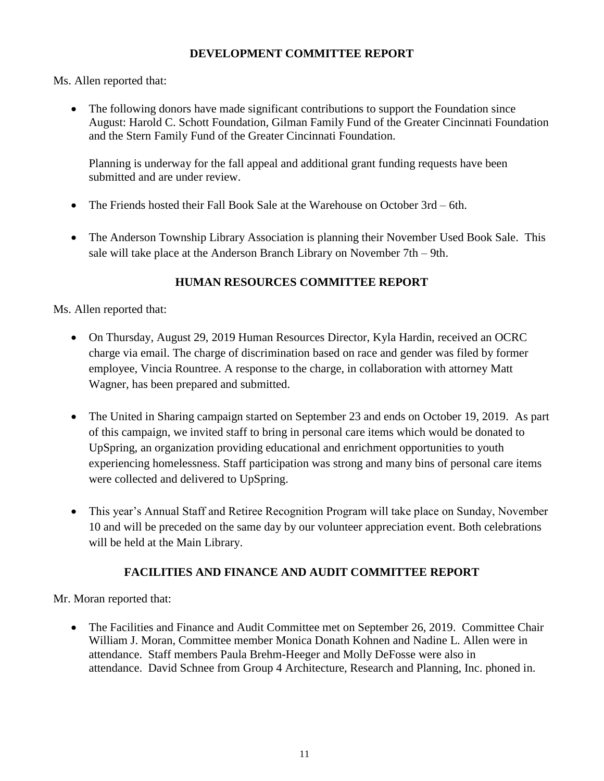### **DEVELOPMENT COMMITTEE REPORT**

Ms. Allen reported that:

• The following donors have made significant contributions to support the Foundation since August: Harold C. Schott Foundation, Gilman Family Fund of the Greater Cincinnati Foundation and the Stern Family Fund of the Greater Cincinnati Foundation.

Planning is underway for the fall appeal and additional grant funding requests have been submitted and are under review.

- The Friends hosted their Fall Book Sale at the Warehouse on October 3rd 6th.
- The Anderson Township Library Association is planning their November Used Book Sale. This sale will take place at the Anderson Branch Library on November 7th – 9th.

# **HUMAN RESOURCES COMMITTEE REPORT**

Ms. Allen reported that:

- On Thursday, August 29, 2019 Human Resources Director, Kyla Hardin, received an OCRC charge via email. The charge of discrimination based on race and gender was filed by former employee, Vincia Rountree. A response to the charge, in collaboration with attorney Matt Wagner, has been prepared and submitted.
- The United in Sharing campaign started on September 23 and ends on October 19, 2019. As part of this campaign, we invited staff to bring in personal care items which would be donated to UpSpring, an organization providing educational and enrichment opportunities to youth experiencing homelessness. Staff participation was strong and many bins of personal care items were collected and delivered to UpSpring.
- This year's Annual Staff and Retiree Recognition Program will take place on Sunday, November 10 and will be preceded on the same day by our volunteer appreciation event. Both celebrations will be held at the Main Library.

# **FACILITIES AND FINANCE AND AUDIT COMMITTEE REPORT**

Mr. Moran reported that:

• The Facilities and Finance and Audit Committee met on September 26, 2019. Committee Chair William J. Moran, Committee member Monica Donath Kohnen and Nadine L. Allen were in attendance. Staff members Paula Brehm-Heeger and Molly DeFosse were also in attendance. David Schnee from Group 4 Architecture, Research and Planning, Inc. phoned in.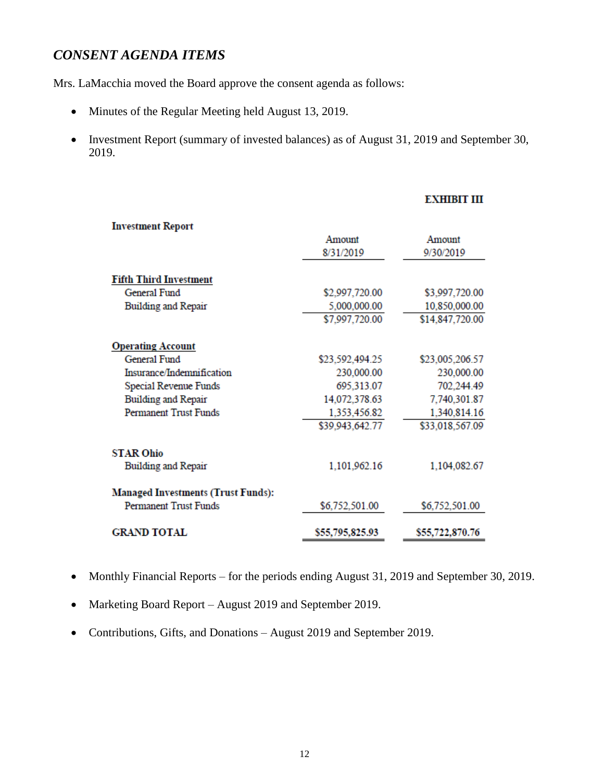# *CONSENT AGENDA ITEMS*

Mrs. LaMacchia moved the Board approve the consent agenda as follows:

- Minutes of the Regular Meeting held August 13, 2019.
- Investment Report (summary of invested balances) as of August 31, 2019 and September 30, 2019.

#### **EXHIBIT III**

| <b>Investment Report</b>                  |                 |                 |
|-------------------------------------------|-----------------|-----------------|
|                                           | Amount          | Amount          |
|                                           | 8/31/2019       | 9/30/2019       |
| <b>Fifth Third Investment</b>             |                 |                 |
| General Fund                              | \$2,997,720.00  | \$3,997,720.00  |
| Building and Repair                       | 5,000,000.00    | 10,850,000.00   |
|                                           | \$7,997,720.00  | \$14,847,720.00 |
| <b>Operating Account</b>                  |                 |                 |
| General Fund                              | \$23,592,494.25 | \$23,005,206.57 |
| Insurance/Indemnification                 | 230,000.00      | 230,000.00      |
| Special Revenue Funds                     | 695,313.07      | 702,244.49      |
| <b>Building and Repair</b>                | 14,072,378.63   | 7,740,301.87    |
| <b>Permanent Trust Funds</b>              | 1,353,456.82    | 1,340,814.16    |
|                                           | \$39,943,642.77 | \$33,018,567.09 |
| <b>STAR Ohio</b>                          |                 |                 |
| Building and Repair                       | 1,101,962.16    | 1,104,082.67    |
| <b>Managed Investments (Trust Funds):</b> |                 |                 |
| <b>Permanent Trust Funds</b>              | \$6,752,501.00  | \$6,752,501.00  |
| <b>GRAND TOTAL</b>                        | \$55,795,825.93 | \$55,722,870.76 |

- Monthly Financial Reports for the periods ending August 31, 2019 and September 30, 2019.
- Marketing Board Report August 2019 and September 2019.
- Contributions, Gifts, and Donations August 2019 and September 2019.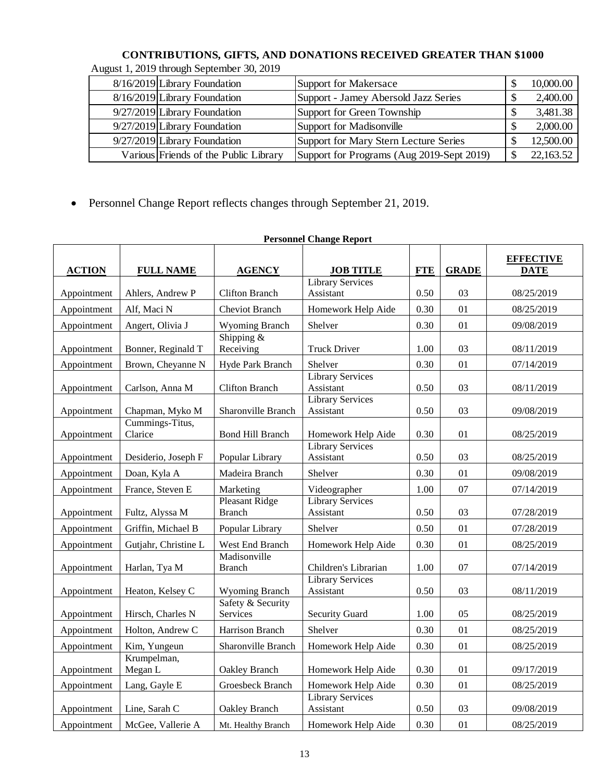# **CONTRIBUTIONS, GIFTS, AND DONATIONS RECEIVED GREATER THAN \$1000**

| 8/16/2019 Library Foundation          | Support for Makersace                     | 10,000.00 |
|---------------------------------------|-------------------------------------------|-----------|
| 8/16/2019 Library Foundation          | Support - Jamey Abersold Jazz Series      | 2,400.00  |
| $9/27/2019$ Library Foundation        | Support for Green Township                | 3,481.38  |
| 9/27/2019 Library Foundation          | Support for Madisonville                  | 2,000.00  |
| 9/27/2019 Library Foundation          | Support for Mary Stern Lecture Series     | 12,500.00 |
| Various Friends of the Public Library | Support for Programs (Aug 2019-Sept 2019) | 22,163.52 |

# August 1, 2019 through September 30, 2019

|                                                                                                                                                                                              | 8/16/2019 Library Foundation                                         |                                            | <b>Support for Makersace</b>                 |                |              | \$<br>10,000.00                 |  |
|----------------------------------------------------------------------------------------------------------------------------------------------------------------------------------------------|----------------------------------------------------------------------|--------------------------------------------|----------------------------------------------|----------------|--------------|---------------------------------|--|
|                                                                                                                                                                                              | 8/16/2019 Library Foundation<br>Support - Jamey Abersold Jazz Series |                                            |                                              | \$<br>2,400.00 |              |                                 |  |
|                                                                                                                                                                                              | 9/27/2019 Library Foundation<br><b>Support for Green Township</b>    |                                            |                                              | \$<br>3,481.38 |              |                                 |  |
|                                                                                                                                                                                              | 9/27/2019 Library Foundation                                         |                                            | Support for Madisonville                     |                |              | \$<br>2,000.00                  |  |
|                                                                                                                                                                                              | 9/27/2019 Library Foundation                                         |                                            | <b>Support for Mary Stern Lecture Series</b> |                |              | \$<br>12,500.00                 |  |
|                                                                                                                                                                                              |                                                                      |                                            |                                              |                |              | \$<br>22,163.52                 |  |
| Various Friends of the Public Library<br>Support for Programs (Aug 2019-Sept 2019)<br>Personnel Change Report reflects changes through September 21, 2019.<br><b>Personnel Change Report</b> |                                                                      |                                            |                                              |                |              |                                 |  |
|                                                                                                                                                                                              |                                                                      |                                            |                                              |                |              |                                 |  |
| <b>ACTION</b>                                                                                                                                                                                | <b>FULL NAME</b>                                                     | <b>AGENCY</b>                              | <b>JOB TITLE</b>                             | <b>FTE</b>     | <b>GRADE</b> | <b>EFFECTIVE</b><br><b>DATE</b> |  |
| Appointment                                                                                                                                                                                  | Ahlers, Andrew P                                                     | <b>Clifton Branch</b>                      | <b>Library Services</b><br>Assistant         | 0.50           | 03           | 08/25/2019                      |  |
| Appointment                                                                                                                                                                                  | Alf, Maci N                                                          | <b>Cheviot Branch</b>                      | Homework Help Aide                           | 0.30           | 01           | 08/25/2019                      |  |
| Appointment                                                                                                                                                                                  | Angert, Olivia J                                                     | <b>Wyoming Branch</b>                      | Shelver                                      | 0.30           | 01           | 09/08/2019                      |  |
| Appointment                                                                                                                                                                                  | Bonner, Reginald T                                                   | Shipping &<br>Receiving                    | <b>Truck Driver</b>                          | 1.00           | 03           | 08/11/2019                      |  |
| Appointment                                                                                                                                                                                  | Brown, Cheyanne N                                                    | Hyde Park Branch                           | Shelver                                      | 0.30           | 01           | 07/14/2019                      |  |
| Appointment                                                                                                                                                                                  | Carlson, Anna M                                                      | <b>Clifton Branch</b>                      | Library Services<br>Assistant                | 0.50           | 03           | 08/11/2019                      |  |
| Appointment                                                                                                                                                                                  | Chapman, Myko M                                                      | Sharonville Branch                         | <b>Library Services</b><br>Assistant         | 0.50           | 03           | 09/08/2019                      |  |
| Appointment                                                                                                                                                                                  | Cummings-Titus,<br>Clarice                                           | <b>Bond Hill Branch</b>                    | Homework Help Aide                           | 0.30           | 01           | 08/25/2019                      |  |
| Appointment                                                                                                                                                                                  | Desiderio, Joseph F                                                  | Popular Library                            | <b>Library Services</b><br>Assistant         | 0.50           | 03           | 08/25/2019                      |  |
| Appointment                                                                                                                                                                                  | Doan, Kyla A                                                         | Madeira Branch                             | Shelver                                      | 0.30           | 01           | 09/08/2019                      |  |
| Appointment                                                                                                                                                                                  | France, Steven E                                                     | Marketing                                  | Videographer                                 | 1.00           | 07           | 07/14/2019                      |  |
| Appointment                                                                                                                                                                                  | Fultz, Alyssa M                                                      | <b>Pleasant Ridge</b><br><b>Branch</b>     | <b>Library Services</b><br>Assistant         | 0.50           | 03           | 07/28/2019                      |  |
| Appointment                                                                                                                                                                                  | Griffin, Michael B                                                   | Popular Library                            | Shelver                                      | 0.50           | 01           | 07/28/2019                      |  |
| Appointment                                                                                                                                                                                  | Gutjahr, Christine L                                                 | West End Branch                            | Homework Help Aide                           | 0.30           | 01           | 08/25/2019                      |  |
| Appointment                                                                                                                                                                                  | Harlan, Tya M                                                        | Madisonville<br><b>Branch</b>              | Children's Librarian                         | 1.00           | 07           | 07/14/2019                      |  |
| Appointment                                                                                                                                                                                  | Heaton, Kelsey C                                                     | <b>Wyoming Branch</b><br>Safety & Security | <b>Library Services</b><br>Assistant         | 0.50           | 03           | 08/11/2019                      |  |
| Appointment                                                                                                                                                                                  | Hirsch, Charles N                                                    | Services                                   | <b>Security Guard</b>                        | 1.00           | 05           | 08/25/2019                      |  |
| Appointment                                                                                                                                                                                  | Holton, Andrew C                                                     | Harrison Branch                            | Shelver                                      | 0.30           | 01           | 08/25/2019                      |  |
| Appointment                                                                                                                                                                                  | Kim, Yungeun                                                         | Sharonville Branch                         | Homework Help Aide                           | 0.30           | 01           | 08/25/2019                      |  |
| Appointment                                                                                                                                                                                  | Krumpelman,<br>Megan L                                               | Oakley Branch                              | Homework Help Aide                           | 0.30           | 01           | 09/17/2019                      |  |
| Appointment                                                                                                                                                                                  | Lang, Gayle E                                                        | Groesbeck Branch                           | Homework Help Aide                           | 0.30           | 01           | 08/25/2019                      |  |
| Appointment                                                                                                                                                                                  | Line, Sarah C                                                        | Oakley Branch                              | <b>Library Services</b><br>Assistant         | 0.50           | 03           | 09/08/2019                      |  |
| Appointment                                                                                                                                                                                  | McGee, Vallerie A                                                    | Mt. Healthy Branch                         | Homework Help Aide                           | 0.30           | 01           | 08/25/2019                      |  |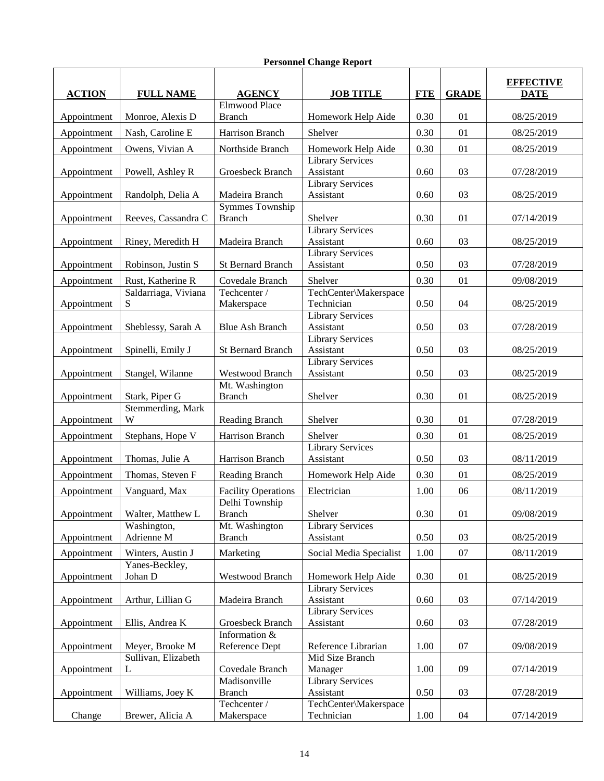| <b>ACTION</b> | <b>FULL NAME</b>          | <b>AGENCY</b>                           | <b>JOB TITLE</b>                     | <b>FTE</b> | <b>GRADE</b> | <b>EFFECTIVE</b><br><b>DATE</b> |
|---------------|---------------------------|-----------------------------------------|--------------------------------------|------------|--------------|---------------------------------|
| Appointment   | Monroe, Alexis D          | <b>Elmwood Place</b><br><b>Branch</b>   | Homework Help Aide                   | 0.30       | 01           | 08/25/2019                      |
| Appointment   | Nash, Caroline E          | Harrison Branch                         | Shelver                              | 0.30       | 01           | 08/25/2019                      |
| Appointment   | Owens, Vivian A           | Northside Branch                        | Homework Help Aide                   | 0.30       | 01           | 08/25/2019                      |
| Appointment   | Powell, Ashley R          | Groesbeck Branch                        | <b>Library Services</b><br>Assistant | 0.60       | 03           | 07/28/2019                      |
| Appointment   | Randolph, Delia A         | Madeira Branch                          | <b>Library Services</b><br>Assistant | 0.60       | 03           | 08/25/2019                      |
| Appointment   | Reeves, Cassandra C       | <b>Symmes Township</b><br><b>Branch</b> | Shelver                              | 0.30       | 01           | 07/14/2019                      |
| Appointment   | Riney, Meredith H         | Madeira Branch                          | <b>Library Services</b><br>Assistant | 0.60       | 03           | 08/25/2019                      |
| Appointment   | Robinson, Justin S        | <b>St Bernard Branch</b>                | <b>Library Services</b><br>Assistant | 0.50       | 03           | 07/28/2019                      |
| Appointment   | Rust, Katherine R         | Covedale Branch                         | Shelver                              | 0.30       | 01           | 09/08/2019                      |
| Appointment   | Saldarriaga, Viviana<br>S | Techcenter /<br>Makerspace              | TechCenter\Makerspace<br>Technician  | 0.50       | 04           | 08/25/2019                      |
| Appointment   | Sheblessy, Sarah A        | <b>Blue Ash Branch</b>                  | Library Services<br>Assistant        | 0.50       | 03           | 07/28/2019                      |
| Appointment   | Spinelli, Emily J         | <b>St Bernard Branch</b>                | <b>Library Services</b><br>Assistant | 0.50       | 03           | 08/25/2019                      |
| Appointment   | Stangel, Wilanne          | <b>Westwood Branch</b>                  | <b>Library Services</b><br>Assistant | 0.50       | 03           | 08/25/2019                      |
| Appointment   | Stark, Piper G            | Mt. Washington<br><b>Branch</b>         | Shelver                              | 0.30       | 01           | 08/25/2019                      |
| Appointment   | Stemmerding, Mark<br>W    | Reading Branch                          | Shelver                              | 0.30       | 01           | 07/28/2019                      |
| Appointment   | Stephans, Hope V          | Harrison Branch                         | Shelver                              | 0.30       | 01           | 08/25/2019                      |
| Appointment   | Thomas, Julie A           | Harrison Branch                         | <b>Library Services</b><br>Assistant | 0.50       | 03           | 08/11/2019                      |
| Appointment   | Thomas, Steven F          | <b>Reading Branch</b>                   | Homework Help Aide                   | 0.30       | 01           | 08/25/2019                      |
| Appointment   | Vanguard, Max             | <b>Facility Operations</b>              | Electrician                          | 1.00       | 06           | 08/11/2019                      |
| Appointment   | Walter, Matthew L         | Delhi Township<br><b>Branch</b>         | Shelver                              | 0.30       | 01           | 09/08/2019                      |
| Appointment   | Washington,<br>Adrienne M | Mt. Washington<br><b>Branch</b>         | <b>Library Services</b><br>Assistant | 0.50       | 03           | 08/25/2019                      |
| Appointment   | Winters, Austin J         | Marketing                               | Social Media Specialist              | 1.00       | 07           | 08/11/2019                      |
| Appointment   | Yanes-Beckley,<br>Johan D | <b>Westwood Branch</b>                  | Homework Help Aide                   | 0.30       | 01           | 08/25/2019                      |
| Appointment   | Arthur, Lillian G         | Madeira Branch                          | <b>Library Services</b><br>Assistant | 0.60       | 03           | 07/14/2019                      |
| Appointment   | Ellis, Andrea K           | Groesbeck Branch                        | <b>Library Services</b><br>Assistant | 0.60       | 03           | 07/28/2019                      |
| Appointment   | Meyer, Brooke M           | Information &<br>Reference Dept         | Reference Librarian                  | 1.00       | 07           | 09/08/2019                      |
| Appointment   | Sullivan, Elizabeth<br>L  | Covedale Branch                         | Mid Size Branch<br>Manager           | 1.00       | 09           | 07/14/2019                      |
| Appointment   | Williams, Joey K          | Madisonville<br><b>Branch</b>           | <b>Library Services</b><br>Assistant | 0.50       | 03           | 07/28/2019                      |
| Change        | Brewer, Alicia A          | Techcenter /<br>Makerspace              | TechCenter\Makerspace<br>Technician  | 1.00       | $04$         | 07/14/2019                      |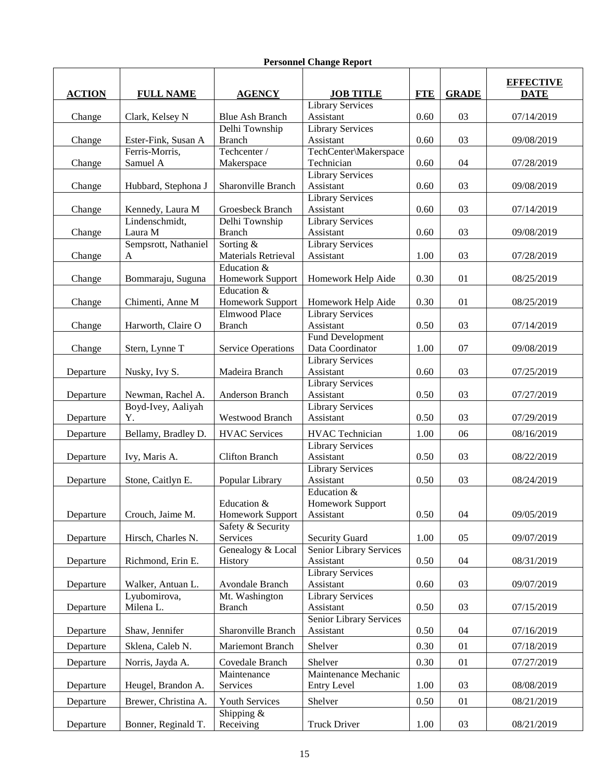| <b>Blue Ash Branch</b><br>Assistant<br>0.60<br>03<br>07/14/2019<br>Change<br>Clark, Kelsey N<br>Delhi Township<br><b>Library Services</b><br><b>Branch</b><br>Assistant<br>0.60<br>03<br>09/08/2019<br>Change<br>Ester-Fink, Susan A<br>Techcenter /<br>Ferris-Morris,<br>TechCenter\Makerspace<br>Samuel A<br>Makerspace<br>Technician<br>0.60<br>04<br>07/28/2019<br>Change<br><b>Library Services</b><br>Sharonville Branch<br>Assistant<br>0.60<br>03<br>Change<br>Hubbard, Stephona J<br>09/08/2019<br><b>Library Services</b><br>Assistant<br>03<br>Kennedy, Laura M<br>Groesbeck Branch<br>0.60<br>Change<br>07/14/2019<br>Delhi Township<br>Library Services<br>Lindenschmidt,<br>Laura M<br><b>Branch</b><br>03<br>Assistant<br>0.60<br>Change<br>09/08/2019<br>Sempsrott, Nathaniel<br>Sorting &<br><b>Library Services</b><br>Materials Retrieval<br>03<br>Assistant<br>1.00<br>07/28/2019<br>Change<br>A<br>Education &<br>0.30<br>Bommaraju, Suguna<br>Homework Support<br>Homework Help Aide<br>01<br>08/25/2019<br>Change<br>Education &<br>Chimenti, Anne M<br>Homework Support<br>Homework Help Aide<br>0.30<br>01<br>08/25/2019<br>Change<br>Library Services<br>Elmwood Place<br>Harworth, Claire O<br><b>Branch</b><br>Assistant<br>0.50<br>03<br>07/14/2019<br>Change<br><b>Fund Development</b><br>Data Coordinator<br>Stern, Lynne T<br><b>Service Operations</b><br>1.00<br>07<br>09/08/2019<br>Change<br><b>Library Services</b><br>Nusky, Ivy S.<br>Madeira Branch<br>Assistant<br>03<br>Departure<br>0.60<br>07/25/2019<br><b>Library Services</b><br>Newman, Rachel A.<br>Anderson Branch<br>Assistant<br>0.50<br>03<br>Departure<br>07/27/2019<br>Boyd-Ivey, Aaliyah<br><b>Library Services</b><br><b>Westwood Branch</b><br>Assistant<br>0.50<br>Departure<br>Y.<br>03<br>07/29/2019<br><b>HVAC Services</b><br>1.00<br>Bellamy, Bradley D.<br><b>HVAC</b> Technician<br>06<br>08/16/2019<br>Departure<br><b>Library Services</b><br><b>Clifton Branch</b><br>Assistant<br>0.50<br>03<br>Ivy, Maris A.<br>08/22/2019<br>Departure<br><b>Library Services</b><br>0.50<br>03<br>Stone, Caitlyn E.<br>Popular Library<br>Assistant<br>08/24/2019<br>Departure<br>Education &<br>Education &<br>Homework Support<br>09/05/2019<br><b>Homework Support</b><br>0.50<br>04<br>Departure<br>Crouch, Jaime M.<br>Assistant<br>Safety & Security<br>Services<br>Security Guard<br>1.00<br>Departure<br>Hirsch, Charles N.<br>05<br>09/07/2019<br>Genealogy & Local<br>Senior Library Services<br>Richmond, Erin E.<br>Assistant<br>0.50<br>History<br>04<br>08/31/2019<br>Departure<br><b>Library Services</b><br>Avondale Branch<br>Assistant<br>03<br>Walker, Antuan L.<br>0.60<br>09/07/2019<br>Departure<br>Lyubomirova,<br>Mt. Washington<br><b>Library Services</b><br>Milena L.<br><b>Branch</b><br>Assistant<br>0.50<br>03<br>07/15/2019<br>Departure<br>Senior Library Services<br>Sharonville Branch<br>Shaw, Jennifer<br>Assistant<br>0.50<br>04<br>07/16/2019<br>Departure<br>Sklena, Caleb N.<br>Shelver<br>0.30<br>Mariemont Branch<br>01<br>07/18/2019<br>Departure<br>Covedale Branch<br>Shelver<br>0.30<br>01<br>07/27/2019<br>Departure<br>Norris, Jayda A.<br>Maintenance<br>Maintenance Mechanic<br>Services<br><b>Entry Level</b><br>03<br>Departure<br>Heugel, Brandon A.<br>1.00<br>08/08/2019<br>Youth Services<br>Shelver<br>Brewer, Christina A.<br>0.50<br>01<br>08/21/2019<br>Departure<br>Shipping $&$ | <b>ACTION</b> | <b>FULL NAME</b>    | <b>AGENCY</b> | <b>JOB TITLE</b>        | <b>FTE</b> | <b>GRADE</b> | <b>EFFECTIVE</b><br><b>DATE</b> |
|---------------------------------------------------------------------------------------------------------------------------------------------------------------------------------------------------------------------------------------------------------------------------------------------------------------------------------------------------------------------------------------------------------------------------------------------------------------------------------------------------------------------------------------------------------------------------------------------------------------------------------------------------------------------------------------------------------------------------------------------------------------------------------------------------------------------------------------------------------------------------------------------------------------------------------------------------------------------------------------------------------------------------------------------------------------------------------------------------------------------------------------------------------------------------------------------------------------------------------------------------------------------------------------------------------------------------------------------------------------------------------------------------------------------------------------------------------------------------------------------------------------------------------------------------------------------------------------------------------------------------------------------------------------------------------------------------------------------------------------------------------------------------------------------------------------------------------------------------------------------------------------------------------------------------------------------------------------------------------------------------------------------------------------------------------------------------------------------------------------------------------------------------------------------------------------------------------------------------------------------------------------------------------------------------------------------------------------------------------------------------------------------------------------------------------------------------------------------------------------------------------------------------------------------------------------------------------------------------------------------------------------------------------------------------------------------------------------------------------------------------------------------------------------------------------------------------------------------------------------------------------------------------------------------------------------------------------------------------------------------------------------------------------------------------------------------------------------------------------------------------------------------------------------------------------------------------------------------------------------------------------------------------------------------------------------------------------------------------------------------------------------------------------------------------------------------------------|---------------|---------------------|---------------|-------------------------|------------|--------------|---------------------------------|
|                                                                                                                                                                                                                                                                                                                                                                                                                                                                                                                                                                                                                                                                                                                                                                                                                                                                                                                                                                                                                                                                                                                                                                                                                                                                                                                                                                                                                                                                                                                                                                                                                                                                                                                                                                                                                                                                                                                                                                                                                                                                                                                                                                                                                                                                                                                                                                                                                                                                                                                                                                                                                                                                                                                                                                                                                                                                                                                                                                                                                                                                                                                                                                                                                                                                                                                                                                                                                                                         |               |                     |               | <b>Library Services</b> |            |              |                                 |
|                                                                                                                                                                                                                                                                                                                                                                                                                                                                                                                                                                                                                                                                                                                                                                                                                                                                                                                                                                                                                                                                                                                                                                                                                                                                                                                                                                                                                                                                                                                                                                                                                                                                                                                                                                                                                                                                                                                                                                                                                                                                                                                                                                                                                                                                                                                                                                                                                                                                                                                                                                                                                                                                                                                                                                                                                                                                                                                                                                                                                                                                                                                                                                                                                                                                                                                                                                                                                                                         |               |                     |               |                         |            |              |                                 |
|                                                                                                                                                                                                                                                                                                                                                                                                                                                                                                                                                                                                                                                                                                                                                                                                                                                                                                                                                                                                                                                                                                                                                                                                                                                                                                                                                                                                                                                                                                                                                                                                                                                                                                                                                                                                                                                                                                                                                                                                                                                                                                                                                                                                                                                                                                                                                                                                                                                                                                                                                                                                                                                                                                                                                                                                                                                                                                                                                                                                                                                                                                                                                                                                                                                                                                                                                                                                                                                         |               |                     |               |                         |            |              |                                 |
|                                                                                                                                                                                                                                                                                                                                                                                                                                                                                                                                                                                                                                                                                                                                                                                                                                                                                                                                                                                                                                                                                                                                                                                                                                                                                                                                                                                                                                                                                                                                                                                                                                                                                                                                                                                                                                                                                                                                                                                                                                                                                                                                                                                                                                                                                                                                                                                                                                                                                                                                                                                                                                                                                                                                                                                                                                                                                                                                                                                                                                                                                                                                                                                                                                                                                                                                                                                                                                                         |               |                     |               |                         |            |              |                                 |
|                                                                                                                                                                                                                                                                                                                                                                                                                                                                                                                                                                                                                                                                                                                                                                                                                                                                                                                                                                                                                                                                                                                                                                                                                                                                                                                                                                                                                                                                                                                                                                                                                                                                                                                                                                                                                                                                                                                                                                                                                                                                                                                                                                                                                                                                                                                                                                                                                                                                                                                                                                                                                                                                                                                                                                                                                                                                                                                                                                                                                                                                                                                                                                                                                                                                                                                                                                                                                                                         |               |                     |               |                         |            |              |                                 |
|                                                                                                                                                                                                                                                                                                                                                                                                                                                                                                                                                                                                                                                                                                                                                                                                                                                                                                                                                                                                                                                                                                                                                                                                                                                                                                                                                                                                                                                                                                                                                                                                                                                                                                                                                                                                                                                                                                                                                                                                                                                                                                                                                                                                                                                                                                                                                                                                                                                                                                                                                                                                                                                                                                                                                                                                                                                                                                                                                                                                                                                                                                                                                                                                                                                                                                                                                                                                                                                         |               |                     |               |                         |            |              |                                 |
|                                                                                                                                                                                                                                                                                                                                                                                                                                                                                                                                                                                                                                                                                                                                                                                                                                                                                                                                                                                                                                                                                                                                                                                                                                                                                                                                                                                                                                                                                                                                                                                                                                                                                                                                                                                                                                                                                                                                                                                                                                                                                                                                                                                                                                                                                                                                                                                                                                                                                                                                                                                                                                                                                                                                                                                                                                                                                                                                                                                                                                                                                                                                                                                                                                                                                                                                                                                                                                                         |               |                     |               |                         |            |              |                                 |
|                                                                                                                                                                                                                                                                                                                                                                                                                                                                                                                                                                                                                                                                                                                                                                                                                                                                                                                                                                                                                                                                                                                                                                                                                                                                                                                                                                                                                                                                                                                                                                                                                                                                                                                                                                                                                                                                                                                                                                                                                                                                                                                                                                                                                                                                                                                                                                                                                                                                                                                                                                                                                                                                                                                                                                                                                                                                                                                                                                                                                                                                                                                                                                                                                                                                                                                                                                                                                                                         |               |                     |               |                         |            |              |                                 |
|                                                                                                                                                                                                                                                                                                                                                                                                                                                                                                                                                                                                                                                                                                                                                                                                                                                                                                                                                                                                                                                                                                                                                                                                                                                                                                                                                                                                                                                                                                                                                                                                                                                                                                                                                                                                                                                                                                                                                                                                                                                                                                                                                                                                                                                                                                                                                                                                                                                                                                                                                                                                                                                                                                                                                                                                                                                                                                                                                                                                                                                                                                                                                                                                                                                                                                                                                                                                                                                         |               |                     |               |                         |            |              |                                 |
|                                                                                                                                                                                                                                                                                                                                                                                                                                                                                                                                                                                                                                                                                                                                                                                                                                                                                                                                                                                                                                                                                                                                                                                                                                                                                                                                                                                                                                                                                                                                                                                                                                                                                                                                                                                                                                                                                                                                                                                                                                                                                                                                                                                                                                                                                                                                                                                                                                                                                                                                                                                                                                                                                                                                                                                                                                                                                                                                                                                                                                                                                                                                                                                                                                                                                                                                                                                                                                                         |               |                     |               |                         |            |              |                                 |
|                                                                                                                                                                                                                                                                                                                                                                                                                                                                                                                                                                                                                                                                                                                                                                                                                                                                                                                                                                                                                                                                                                                                                                                                                                                                                                                                                                                                                                                                                                                                                                                                                                                                                                                                                                                                                                                                                                                                                                                                                                                                                                                                                                                                                                                                                                                                                                                                                                                                                                                                                                                                                                                                                                                                                                                                                                                                                                                                                                                                                                                                                                                                                                                                                                                                                                                                                                                                                                                         |               |                     |               |                         |            |              |                                 |
|                                                                                                                                                                                                                                                                                                                                                                                                                                                                                                                                                                                                                                                                                                                                                                                                                                                                                                                                                                                                                                                                                                                                                                                                                                                                                                                                                                                                                                                                                                                                                                                                                                                                                                                                                                                                                                                                                                                                                                                                                                                                                                                                                                                                                                                                                                                                                                                                                                                                                                                                                                                                                                                                                                                                                                                                                                                                                                                                                                                                                                                                                                                                                                                                                                                                                                                                                                                                                                                         |               |                     |               |                         |            |              |                                 |
|                                                                                                                                                                                                                                                                                                                                                                                                                                                                                                                                                                                                                                                                                                                                                                                                                                                                                                                                                                                                                                                                                                                                                                                                                                                                                                                                                                                                                                                                                                                                                                                                                                                                                                                                                                                                                                                                                                                                                                                                                                                                                                                                                                                                                                                                                                                                                                                                                                                                                                                                                                                                                                                                                                                                                                                                                                                                                                                                                                                                                                                                                                                                                                                                                                                                                                                                                                                                                                                         |               |                     |               |                         |            |              |                                 |
|                                                                                                                                                                                                                                                                                                                                                                                                                                                                                                                                                                                                                                                                                                                                                                                                                                                                                                                                                                                                                                                                                                                                                                                                                                                                                                                                                                                                                                                                                                                                                                                                                                                                                                                                                                                                                                                                                                                                                                                                                                                                                                                                                                                                                                                                                                                                                                                                                                                                                                                                                                                                                                                                                                                                                                                                                                                                                                                                                                                                                                                                                                                                                                                                                                                                                                                                                                                                                                                         |               |                     |               |                         |            |              |                                 |
|                                                                                                                                                                                                                                                                                                                                                                                                                                                                                                                                                                                                                                                                                                                                                                                                                                                                                                                                                                                                                                                                                                                                                                                                                                                                                                                                                                                                                                                                                                                                                                                                                                                                                                                                                                                                                                                                                                                                                                                                                                                                                                                                                                                                                                                                                                                                                                                                                                                                                                                                                                                                                                                                                                                                                                                                                                                                                                                                                                                                                                                                                                                                                                                                                                                                                                                                                                                                                                                         |               |                     |               |                         |            |              |                                 |
|                                                                                                                                                                                                                                                                                                                                                                                                                                                                                                                                                                                                                                                                                                                                                                                                                                                                                                                                                                                                                                                                                                                                                                                                                                                                                                                                                                                                                                                                                                                                                                                                                                                                                                                                                                                                                                                                                                                                                                                                                                                                                                                                                                                                                                                                                                                                                                                                                                                                                                                                                                                                                                                                                                                                                                                                                                                                                                                                                                                                                                                                                                                                                                                                                                                                                                                                                                                                                                                         |               |                     |               |                         |            |              |                                 |
|                                                                                                                                                                                                                                                                                                                                                                                                                                                                                                                                                                                                                                                                                                                                                                                                                                                                                                                                                                                                                                                                                                                                                                                                                                                                                                                                                                                                                                                                                                                                                                                                                                                                                                                                                                                                                                                                                                                                                                                                                                                                                                                                                                                                                                                                                                                                                                                                                                                                                                                                                                                                                                                                                                                                                                                                                                                                                                                                                                                                                                                                                                                                                                                                                                                                                                                                                                                                                                                         |               |                     |               |                         |            |              |                                 |
|                                                                                                                                                                                                                                                                                                                                                                                                                                                                                                                                                                                                                                                                                                                                                                                                                                                                                                                                                                                                                                                                                                                                                                                                                                                                                                                                                                                                                                                                                                                                                                                                                                                                                                                                                                                                                                                                                                                                                                                                                                                                                                                                                                                                                                                                                                                                                                                                                                                                                                                                                                                                                                                                                                                                                                                                                                                                                                                                                                                                                                                                                                                                                                                                                                                                                                                                                                                                                                                         |               |                     |               |                         |            |              |                                 |
|                                                                                                                                                                                                                                                                                                                                                                                                                                                                                                                                                                                                                                                                                                                                                                                                                                                                                                                                                                                                                                                                                                                                                                                                                                                                                                                                                                                                                                                                                                                                                                                                                                                                                                                                                                                                                                                                                                                                                                                                                                                                                                                                                                                                                                                                                                                                                                                                                                                                                                                                                                                                                                                                                                                                                                                                                                                                                                                                                                                                                                                                                                                                                                                                                                                                                                                                                                                                                                                         |               |                     |               |                         |            |              |                                 |
|                                                                                                                                                                                                                                                                                                                                                                                                                                                                                                                                                                                                                                                                                                                                                                                                                                                                                                                                                                                                                                                                                                                                                                                                                                                                                                                                                                                                                                                                                                                                                                                                                                                                                                                                                                                                                                                                                                                                                                                                                                                                                                                                                                                                                                                                                                                                                                                                                                                                                                                                                                                                                                                                                                                                                                                                                                                                                                                                                                                                                                                                                                                                                                                                                                                                                                                                                                                                                                                         |               |                     |               |                         |            |              |                                 |
|                                                                                                                                                                                                                                                                                                                                                                                                                                                                                                                                                                                                                                                                                                                                                                                                                                                                                                                                                                                                                                                                                                                                                                                                                                                                                                                                                                                                                                                                                                                                                                                                                                                                                                                                                                                                                                                                                                                                                                                                                                                                                                                                                                                                                                                                                                                                                                                                                                                                                                                                                                                                                                                                                                                                                                                                                                                                                                                                                                                                                                                                                                                                                                                                                                                                                                                                                                                                                                                         |               |                     |               |                         |            |              |                                 |
|                                                                                                                                                                                                                                                                                                                                                                                                                                                                                                                                                                                                                                                                                                                                                                                                                                                                                                                                                                                                                                                                                                                                                                                                                                                                                                                                                                                                                                                                                                                                                                                                                                                                                                                                                                                                                                                                                                                                                                                                                                                                                                                                                                                                                                                                                                                                                                                                                                                                                                                                                                                                                                                                                                                                                                                                                                                                                                                                                                                                                                                                                                                                                                                                                                                                                                                                                                                                                                                         |               |                     |               |                         |            |              |                                 |
|                                                                                                                                                                                                                                                                                                                                                                                                                                                                                                                                                                                                                                                                                                                                                                                                                                                                                                                                                                                                                                                                                                                                                                                                                                                                                                                                                                                                                                                                                                                                                                                                                                                                                                                                                                                                                                                                                                                                                                                                                                                                                                                                                                                                                                                                                                                                                                                                                                                                                                                                                                                                                                                                                                                                                                                                                                                                                                                                                                                                                                                                                                                                                                                                                                                                                                                                                                                                                                                         |               |                     |               |                         |            |              |                                 |
|                                                                                                                                                                                                                                                                                                                                                                                                                                                                                                                                                                                                                                                                                                                                                                                                                                                                                                                                                                                                                                                                                                                                                                                                                                                                                                                                                                                                                                                                                                                                                                                                                                                                                                                                                                                                                                                                                                                                                                                                                                                                                                                                                                                                                                                                                                                                                                                                                                                                                                                                                                                                                                                                                                                                                                                                                                                                                                                                                                                                                                                                                                                                                                                                                                                                                                                                                                                                                                                         |               |                     |               |                         |            |              |                                 |
|                                                                                                                                                                                                                                                                                                                                                                                                                                                                                                                                                                                                                                                                                                                                                                                                                                                                                                                                                                                                                                                                                                                                                                                                                                                                                                                                                                                                                                                                                                                                                                                                                                                                                                                                                                                                                                                                                                                                                                                                                                                                                                                                                                                                                                                                                                                                                                                                                                                                                                                                                                                                                                                                                                                                                                                                                                                                                                                                                                                                                                                                                                                                                                                                                                                                                                                                                                                                                                                         |               |                     |               |                         |            |              |                                 |
|                                                                                                                                                                                                                                                                                                                                                                                                                                                                                                                                                                                                                                                                                                                                                                                                                                                                                                                                                                                                                                                                                                                                                                                                                                                                                                                                                                                                                                                                                                                                                                                                                                                                                                                                                                                                                                                                                                                                                                                                                                                                                                                                                                                                                                                                                                                                                                                                                                                                                                                                                                                                                                                                                                                                                                                                                                                                                                                                                                                                                                                                                                                                                                                                                                                                                                                                                                                                                                                         |               |                     |               |                         |            |              |                                 |
|                                                                                                                                                                                                                                                                                                                                                                                                                                                                                                                                                                                                                                                                                                                                                                                                                                                                                                                                                                                                                                                                                                                                                                                                                                                                                                                                                                                                                                                                                                                                                                                                                                                                                                                                                                                                                                                                                                                                                                                                                                                                                                                                                                                                                                                                                                                                                                                                                                                                                                                                                                                                                                                                                                                                                                                                                                                                                                                                                                                                                                                                                                                                                                                                                                                                                                                                                                                                                                                         |               |                     |               |                         |            |              |                                 |
|                                                                                                                                                                                                                                                                                                                                                                                                                                                                                                                                                                                                                                                                                                                                                                                                                                                                                                                                                                                                                                                                                                                                                                                                                                                                                                                                                                                                                                                                                                                                                                                                                                                                                                                                                                                                                                                                                                                                                                                                                                                                                                                                                                                                                                                                                                                                                                                                                                                                                                                                                                                                                                                                                                                                                                                                                                                                                                                                                                                                                                                                                                                                                                                                                                                                                                                                                                                                                                                         |               |                     |               |                         |            |              |                                 |
|                                                                                                                                                                                                                                                                                                                                                                                                                                                                                                                                                                                                                                                                                                                                                                                                                                                                                                                                                                                                                                                                                                                                                                                                                                                                                                                                                                                                                                                                                                                                                                                                                                                                                                                                                                                                                                                                                                                                                                                                                                                                                                                                                                                                                                                                                                                                                                                                                                                                                                                                                                                                                                                                                                                                                                                                                                                                                                                                                                                                                                                                                                                                                                                                                                                                                                                                                                                                                                                         |               |                     |               |                         |            |              |                                 |
|                                                                                                                                                                                                                                                                                                                                                                                                                                                                                                                                                                                                                                                                                                                                                                                                                                                                                                                                                                                                                                                                                                                                                                                                                                                                                                                                                                                                                                                                                                                                                                                                                                                                                                                                                                                                                                                                                                                                                                                                                                                                                                                                                                                                                                                                                                                                                                                                                                                                                                                                                                                                                                                                                                                                                                                                                                                                                                                                                                                                                                                                                                                                                                                                                                                                                                                                                                                                                                                         |               |                     |               |                         |            |              |                                 |
|                                                                                                                                                                                                                                                                                                                                                                                                                                                                                                                                                                                                                                                                                                                                                                                                                                                                                                                                                                                                                                                                                                                                                                                                                                                                                                                                                                                                                                                                                                                                                                                                                                                                                                                                                                                                                                                                                                                                                                                                                                                                                                                                                                                                                                                                                                                                                                                                                                                                                                                                                                                                                                                                                                                                                                                                                                                                                                                                                                                                                                                                                                                                                                                                                                                                                                                                                                                                                                                         |               |                     |               |                         |            |              |                                 |
|                                                                                                                                                                                                                                                                                                                                                                                                                                                                                                                                                                                                                                                                                                                                                                                                                                                                                                                                                                                                                                                                                                                                                                                                                                                                                                                                                                                                                                                                                                                                                                                                                                                                                                                                                                                                                                                                                                                                                                                                                                                                                                                                                                                                                                                                                                                                                                                                                                                                                                                                                                                                                                                                                                                                                                                                                                                                                                                                                                                                                                                                                                                                                                                                                                                                                                                                                                                                                                                         |               |                     |               |                         |            |              |                                 |
|                                                                                                                                                                                                                                                                                                                                                                                                                                                                                                                                                                                                                                                                                                                                                                                                                                                                                                                                                                                                                                                                                                                                                                                                                                                                                                                                                                                                                                                                                                                                                                                                                                                                                                                                                                                                                                                                                                                                                                                                                                                                                                                                                                                                                                                                                                                                                                                                                                                                                                                                                                                                                                                                                                                                                                                                                                                                                                                                                                                                                                                                                                                                                                                                                                                                                                                                                                                                                                                         |               |                     |               |                         |            |              |                                 |
|                                                                                                                                                                                                                                                                                                                                                                                                                                                                                                                                                                                                                                                                                                                                                                                                                                                                                                                                                                                                                                                                                                                                                                                                                                                                                                                                                                                                                                                                                                                                                                                                                                                                                                                                                                                                                                                                                                                                                                                                                                                                                                                                                                                                                                                                                                                                                                                                                                                                                                                                                                                                                                                                                                                                                                                                                                                                                                                                                                                                                                                                                                                                                                                                                                                                                                                                                                                                                                                         |               |                     |               |                         |            |              |                                 |
|                                                                                                                                                                                                                                                                                                                                                                                                                                                                                                                                                                                                                                                                                                                                                                                                                                                                                                                                                                                                                                                                                                                                                                                                                                                                                                                                                                                                                                                                                                                                                                                                                                                                                                                                                                                                                                                                                                                                                                                                                                                                                                                                                                                                                                                                                                                                                                                                                                                                                                                                                                                                                                                                                                                                                                                                                                                                                                                                                                                                                                                                                                                                                                                                                                                                                                                                                                                                                                                         |               |                     |               |                         |            |              |                                 |
|                                                                                                                                                                                                                                                                                                                                                                                                                                                                                                                                                                                                                                                                                                                                                                                                                                                                                                                                                                                                                                                                                                                                                                                                                                                                                                                                                                                                                                                                                                                                                                                                                                                                                                                                                                                                                                                                                                                                                                                                                                                                                                                                                                                                                                                                                                                                                                                                                                                                                                                                                                                                                                                                                                                                                                                                                                                                                                                                                                                                                                                                                                                                                                                                                                                                                                                                                                                                                                                         |               |                     |               |                         |            |              |                                 |
|                                                                                                                                                                                                                                                                                                                                                                                                                                                                                                                                                                                                                                                                                                                                                                                                                                                                                                                                                                                                                                                                                                                                                                                                                                                                                                                                                                                                                                                                                                                                                                                                                                                                                                                                                                                                                                                                                                                                                                                                                                                                                                                                                                                                                                                                                                                                                                                                                                                                                                                                                                                                                                                                                                                                                                                                                                                                                                                                                                                                                                                                                                                                                                                                                                                                                                                                                                                                                                                         |               |                     |               |                         |            |              |                                 |
|                                                                                                                                                                                                                                                                                                                                                                                                                                                                                                                                                                                                                                                                                                                                                                                                                                                                                                                                                                                                                                                                                                                                                                                                                                                                                                                                                                                                                                                                                                                                                                                                                                                                                                                                                                                                                                                                                                                                                                                                                                                                                                                                                                                                                                                                                                                                                                                                                                                                                                                                                                                                                                                                                                                                                                                                                                                                                                                                                                                                                                                                                                                                                                                                                                                                                                                                                                                                                                                         |               |                     |               |                         |            |              |                                 |
|                                                                                                                                                                                                                                                                                                                                                                                                                                                                                                                                                                                                                                                                                                                                                                                                                                                                                                                                                                                                                                                                                                                                                                                                                                                                                                                                                                                                                                                                                                                                                                                                                                                                                                                                                                                                                                                                                                                                                                                                                                                                                                                                                                                                                                                                                                                                                                                                                                                                                                                                                                                                                                                                                                                                                                                                                                                                                                                                                                                                                                                                                                                                                                                                                                                                                                                                                                                                                                                         |               |                     |               |                         |            |              |                                 |
|                                                                                                                                                                                                                                                                                                                                                                                                                                                                                                                                                                                                                                                                                                                                                                                                                                                                                                                                                                                                                                                                                                                                                                                                                                                                                                                                                                                                                                                                                                                                                                                                                                                                                                                                                                                                                                                                                                                                                                                                                                                                                                                                                                                                                                                                                                                                                                                                                                                                                                                                                                                                                                                                                                                                                                                                                                                                                                                                                                                                                                                                                                                                                                                                                                                                                                                                                                                                                                                         |               |                     |               |                         |            |              |                                 |
|                                                                                                                                                                                                                                                                                                                                                                                                                                                                                                                                                                                                                                                                                                                                                                                                                                                                                                                                                                                                                                                                                                                                                                                                                                                                                                                                                                                                                                                                                                                                                                                                                                                                                                                                                                                                                                                                                                                                                                                                                                                                                                                                                                                                                                                                                                                                                                                                                                                                                                                                                                                                                                                                                                                                                                                                                                                                                                                                                                                                                                                                                                                                                                                                                                                                                                                                                                                                                                                         |               |                     |               |                         |            |              |                                 |
|                                                                                                                                                                                                                                                                                                                                                                                                                                                                                                                                                                                                                                                                                                                                                                                                                                                                                                                                                                                                                                                                                                                                                                                                                                                                                                                                                                                                                                                                                                                                                                                                                                                                                                                                                                                                                                                                                                                                                                                                                                                                                                                                                                                                                                                                                                                                                                                                                                                                                                                                                                                                                                                                                                                                                                                                                                                                                                                                                                                                                                                                                                                                                                                                                                                                                                                                                                                                                                                         |               |                     |               |                         |            |              |                                 |
|                                                                                                                                                                                                                                                                                                                                                                                                                                                                                                                                                                                                                                                                                                                                                                                                                                                                                                                                                                                                                                                                                                                                                                                                                                                                                                                                                                                                                                                                                                                                                                                                                                                                                                                                                                                                                                                                                                                                                                                                                                                                                                                                                                                                                                                                                                                                                                                                                                                                                                                                                                                                                                                                                                                                                                                                                                                                                                                                                                                                                                                                                                                                                                                                                                                                                                                                                                                                                                                         |               |                     |               |                         |            |              |                                 |
|                                                                                                                                                                                                                                                                                                                                                                                                                                                                                                                                                                                                                                                                                                                                                                                                                                                                                                                                                                                                                                                                                                                                                                                                                                                                                                                                                                                                                                                                                                                                                                                                                                                                                                                                                                                                                                                                                                                                                                                                                                                                                                                                                                                                                                                                                                                                                                                                                                                                                                                                                                                                                                                                                                                                                                                                                                                                                                                                                                                                                                                                                                                                                                                                                                                                                                                                                                                                                                                         |               |                     |               |                         |            |              |                                 |
|                                                                                                                                                                                                                                                                                                                                                                                                                                                                                                                                                                                                                                                                                                                                                                                                                                                                                                                                                                                                                                                                                                                                                                                                                                                                                                                                                                                                                                                                                                                                                                                                                                                                                                                                                                                                                                                                                                                                                                                                                                                                                                                                                                                                                                                                                                                                                                                                                                                                                                                                                                                                                                                                                                                                                                                                                                                                                                                                                                                                                                                                                                                                                                                                                                                                                                                                                                                                                                                         | Departure     | Bonner, Reginald T. | Receiving     | <b>Truck Driver</b>     | 1.00       | 03           | 08/21/2019                      |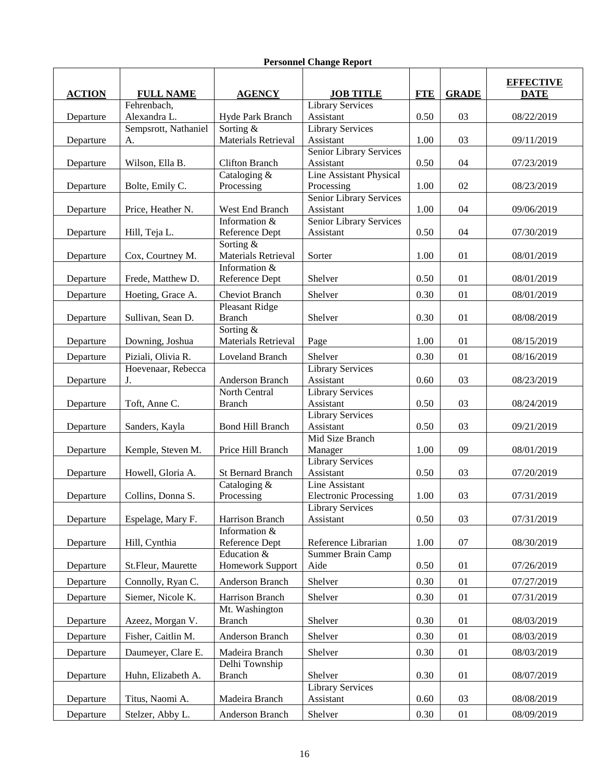| <b>ACTION</b> | <b>FULL NAME</b>     | <b>AGENCY</b>                           | <b>JOB TITLE</b>                     | <b>FTE</b> | <b>GRADE</b> | <b>EFFECTIVE</b><br><b>DATE</b> |
|---------------|----------------------|-----------------------------------------|--------------------------------------|------------|--------------|---------------------------------|
|               | Fehrenbach,          |                                         | <b>Library Services</b>              |            |              |                                 |
| Departure     | Alexandra L.         | Hyde Park Branch                        | Assistant                            | 0.50       | 03           | 08/22/2019                      |
|               | Sempsrott, Nathaniel | Sorting &<br><b>Materials Retrieval</b> | <b>Library Services</b>              |            |              |                                 |
| Departure     | A.                   |                                         | Assistant<br>Senior Library Services | 1.00       | 03           | 09/11/2019                      |
| Departure     | Wilson, Ella B.      | <b>Clifton Branch</b>                   | Assistant                            | 0.50       | 04           | 07/23/2019                      |
|               |                      | Cataloging &                            | <b>Line Assistant Physical</b>       |            |              |                                 |
| Departure     | Bolte, Emily C.      | Processing                              | Processing                           | 1.00       | 02           | 08/23/2019                      |
|               |                      |                                         | Senior Library Services              |            |              |                                 |
| Departure     | Price, Heather N.    | West End Branch                         | Assistant                            | 1.00       | 04           | 09/06/2019                      |
|               |                      | Information &                           | Senior Library Services              |            |              |                                 |
| Departure     | Hill, Teja L.        | Reference Dept<br>Sorting &             | Assistant                            | 0.50       | 04           | 07/30/2019                      |
| Departure     | Cox, Courtney M.     | Materials Retrieval                     | Sorter                               | 1.00       | 01           | 08/01/2019                      |
|               |                      | Information &                           |                                      |            |              |                                 |
| Departure     | Frede, Matthew D.    | Reference Dept                          | Shelver                              | 0.50       | 01           | 08/01/2019                      |
| Departure     | Hoeting, Grace A.    | <b>Cheviot Branch</b>                   | Shelver                              | 0.30       | 01           | 08/01/2019                      |
|               |                      | Pleasant Ridge                          |                                      |            |              |                                 |
| Departure     | Sullivan, Sean D.    | <b>Branch</b>                           | Shelver                              | 0.30       | 01           | 08/08/2019                      |
|               |                      | Sorting $&$                             |                                      |            |              |                                 |
| Departure     | Downing, Joshua      | Materials Retrieval                     | Page                                 | 1.00       | 01           | 08/15/2019                      |
| Departure     | Piziali, Olivia R.   | Loveland Branch                         | Shelver                              | 0.30       | 01           | 08/16/2019                      |
|               | Hoevenaar, Rebecca   |                                         | <b>Library Services</b>              |            |              |                                 |
| Departure     | J.                   | Anderson Branch                         | Assistant                            | 0.60       | 03           | 08/23/2019                      |
|               |                      | North Central                           | <b>Library Services</b>              |            |              |                                 |
| Departure     | Toft, Anne C.        | <b>Branch</b>                           | Assistant                            | 0.50       | 03           | 08/24/2019                      |
| Departure     | Sanders, Kayla       | <b>Bond Hill Branch</b>                 | <b>Library Services</b><br>Assistant | 0.50       | 03           | 09/21/2019                      |
|               |                      |                                         | Mid Size Branch                      |            |              |                                 |
| Departure     | Kemple, Steven M.    | Price Hill Branch                       | Manager                              | 1.00       | 09           | 08/01/2019                      |
|               |                      |                                         | <b>Library Services</b>              |            |              |                                 |
| Departure     | Howell, Gloria A.    | <b>St Bernard Branch</b>                | Assistant                            | 0.50       | 03           | 07/20/2019                      |
|               |                      | Cataloging &                            | Line Assistant                       |            |              |                                 |
| Departure     | Collins, Donna S.    | Processing                              | <b>Electronic Processing</b>         | 1.00       | 03           | 07/31/2019                      |
| Departure     | Espelage, Mary F.    | Harrison Branch                         | <b>Library Services</b><br>Assistant | 0.50       | 03           | 07/31/2019                      |
|               |                      | Information &                           |                                      |            |              |                                 |
| Departure     | Hill, Cynthia        | Reference Dept                          | Reference Librarian                  | 1.00       | 07           | 08/30/2019                      |
|               |                      | Education &                             | Summer Brain Camp                    |            |              |                                 |
| Departure     | St.Fleur, Maurette   | Homework Support                        | Aide                                 | 0.50       | 01           | 07/26/2019                      |
| Departure     | Connolly, Ryan C.    | Anderson Branch                         | Shelver                              | 0.30       | 01           | 07/27/2019                      |
| Departure     | Siemer, Nicole K.    | Harrison Branch                         | Shelver                              | 0.30       | 01           | 07/31/2019                      |
|               |                      | Mt. Washington                          |                                      |            |              |                                 |
| Departure     | Azeez, Morgan V.     | <b>Branch</b>                           | Shelver                              | 0.30       | 01           | 08/03/2019                      |
| Departure     | Fisher, Caitlin M.   | Anderson Branch                         | Shelver                              | 0.30       | 01           | 08/03/2019                      |
| Departure     | Daumeyer, Clare E.   | Madeira Branch                          | Shelver                              | 0.30       | 01           | 08/03/2019                      |
|               |                      | Delhi Township                          |                                      |            |              |                                 |
| Departure     | Huhn, Elizabeth A.   | <b>Branch</b>                           | Shelver                              | 0.30       | 01           | 08/07/2019                      |
|               |                      |                                         | <b>Library Services</b>              |            |              |                                 |
| Departure     | Titus, Naomi A.      | Madeira Branch                          | Assistant                            | 0.60       | 03           | 08/08/2019                      |
| Departure     | Stelzer, Abby L.     | Anderson Branch                         | Shelver                              | 0.30       | $01\,$       | 08/09/2019                      |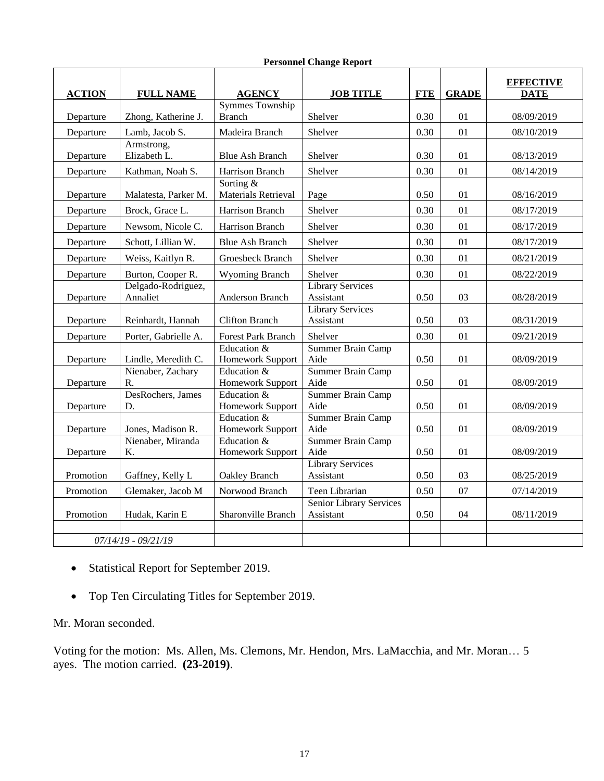| <b>Personnel Change Report</b> |  |  |
|--------------------------------|--|--|
|--------------------------------|--|--|

| <b>ACTION</b> | <b>FULL NAME</b>                    | <b>AGENCY</b>                           | <b>JOB TITLE</b>                            | <b>FTE</b> | <b>GRADE</b> | <b>EFFECTIVE</b><br><b>DATE</b> |
|---------------|-------------------------------------|-----------------------------------------|---------------------------------------------|------------|--------------|---------------------------------|
|               |                                     | Symmes Township                         |                                             |            |              |                                 |
| Departure     | Zhong, Katherine J.                 | <b>Branch</b>                           | Shelver                                     | 0.30       | 01           | 08/09/2019                      |
| Departure     | Lamb, Jacob S.                      | Madeira Branch                          | Shelver                                     | 0.30       | 01           | 08/10/2019                      |
| Departure     | Armstrong,<br>Elizabeth L.          | <b>Blue Ash Branch</b>                  | Shelver                                     | 0.30       | 01           | 08/13/2019                      |
| Departure     | Kathman, Noah S.                    | Harrison Branch                         | Shelver                                     | 0.30       | 01           | 08/14/2019                      |
| Departure     | Malatesta, Parker M.                | Sorting &<br><b>Materials Retrieval</b> | Page                                        | 0.50       | 01           | 08/16/2019                      |
| Departure     | Brock, Grace L.                     | Harrison Branch                         | Shelver                                     | 0.30       | 01           | 08/17/2019                      |
| Departure     | Newsom, Nicole C.                   | Harrison Branch                         | Shelver                                     | 0.30       | 01           | 08/17/2019                      |
| Departure     | Schott, Lillian W.                  | <b>Blue Ash Branch</b>                  | Shelver                                     | 0.30       | 01           | 08/17/2019                      |
| Departure     | Weiss, Kaitlyn R.                   | Groesbeck Branch                        | Shelver                                     | 0.30       | 01           | 08/21/2019                      |
| Departure     | Burton, Cooper R.                   | <b>Wyoming Branch</b>                   | Shelver                                     | 0.30       | 01           | 08/22/2019                      |
| Departure     | Delgado-Rodriguez,<br>Annaliet      | Anderson Branch                         | <b>Library Services</b><br>Assistant        | 0.50       | 03           | 08/28/2019                      |
| Departure     | Reinhardt, Hannah                   | <b>Clifton Branch</b>                   | <b>Library Services</b><br>Assistant        | 0.50       | 03           | 08/31/2019                      |
| Departure     | Porter, Gabrielle A.                | <b>Forest Park Branch</b>               | Shelver                                     | 0.30       | 01           | 09/21/2019                      |
| Departure     | Lindle, Meredith C.                 | Education &<br>Homework Support         | Summer Brain Camp<br>Aide                   | $0.50\,$   | 01           | 08/09/2019                      |
| Departure     | Nienaber, Zachary<br>$\mathbf{R}$ . | Education $&$<br>Homework Support       | <b>Summer Brain Camp</b><br>Aide            | 0.50       | 01           | 08/09/2019                      |
| Departure     | DesRochers, James<br>D.             | Education &<br>Homework Support         | Summer Brain Camp<br>Aide                   | 0.50       | 01           | 08/09/2019                      |
| Departure     | Jones, Madison R.                   | Education $&$<br>Homework Support       | Summer Brain Camp<br>Aide                   | 0.50       | 01           | 08/09/2019                      |
| Departure     | Nienaber, Miranda<br>K.             | Education &<br>Homework Support         | Summer Brain Camp<br>Aide                   | 0.50       | 01           | 08/09/2019                      |
| Promotion     | Gaffney, Kelly L                    | Oakley Branch                           | <b>Library Services</b><br>Assistant        | 0.50       | 03           | 08/25/2019                      |
| Promotion     | Glemaker, Jacob M                   | Norwood Branch                          | Teen Librarian                              | 0.50       | 07           | 07/14/2019                      |
| Promotion     | Hudak, Karin E                      | Sharonville Branch                      | <b>Senior Library Services</b><br>Assistant | 0.50       | 04           | 08/11/2019                      |
|               | $07/14/19 - 09/21/19$               |                                         |                                             |            |              |                                 |
|               |                                     |                                         |                                             |            |              |                                 |

- Statistical Report for September 2019.
- Top Ten Circulating Titles for September 2019.

Mr. Moran seconded.

Voting for the motion: Ms. Allen, Ms. Clemons, Mr. Hendon, Mrs. LaMacchia, and Mr. Moran… 5 ayes. The motion carried. **(23-2019)**.